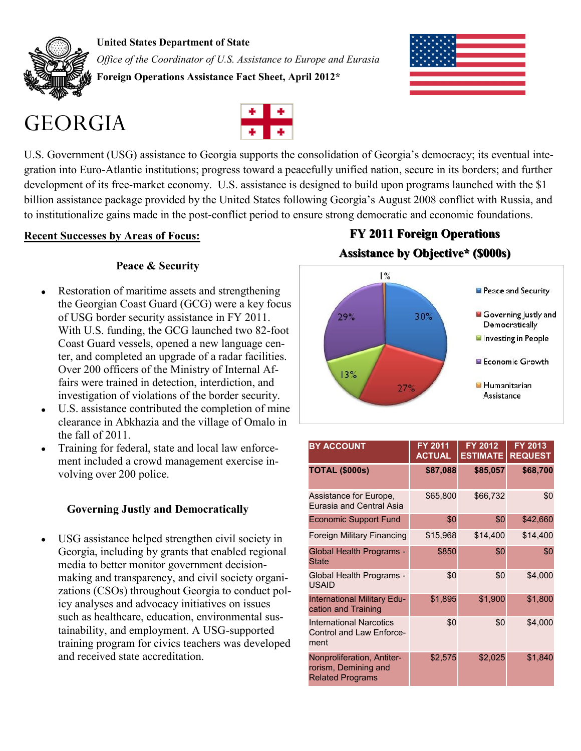

**United States Department of State** *Office of the Coordinator of U.S. Assistance to Europe and Eurasia* **Foreign Operations Assistance Fact Sheet, April 2012\***

# GEORGIA



U.S. Government (USG) assistance to Georgia supports the consolidation of Georgia's democracy; its eventual integration into Euro-Atlantic institutions; progress toward a peacefully unified nation, secure in its borders; and further development of its free-market economy. U.S. assistance is designed to build upon programs launched with the \$1 billion assistance package provided by the United States following Georgia's August 2008 conflict with Russia, and to institutionalize gains made in the post-conflict period to ensure strong democratic and economic foundations.

#### **Recent Successes by Areas of Focus:**

### **Peace & Security**

- $\bullet$ Restoration of maritime assets and strengthening the Georgian Coast Guard (GCG) were a key focus of USG border security assistance in FY 2011. With U.S. funding, the GCG launched two 82-foot Coast Guard vessels, opened a new language center, and completed an upgrade of a radar facilities. Over 200 officers of the Ministry of Internal Affairs were trained in detection, interdiction, and investigation of violations of the border security.
- U.S. assistance contributed the completion of mine  $\bullet$ clearance in Abkhazia and the village of Omalo in the fall of 2011.
- Training for federal, state and local law enforce- $\bullet$ ment included a crowd management exercise involving over 200 police.

### **Governing Justly and Democratically**

USG assistance helped strengthen civil society in  $\bullet$ Georgia, including by grants that enabled regional media to better monitor government decisionmaking and transparency, and civil society organizations (CSOs) throughout Georgia to conduct policy analyses and advocacy initiatives on issues such as healthcare, education, environmental sustainability, and employment. A USG-supported training program for civics teachers was developed and received state accreditation.

## **FY 2011 Foreign Operations Assistance by Objective\* (\$000s)**



| <b>BY ACCOUNT</b>                                                             | FY 2011<br><b>ACTUAL</b> | <b>FY 2012</b><br><b>ESTIMATE</b> | FY 2013<br><b>REQUEST</b> |
|-------------------------------------------------------------------------------|--------------------------|-----------------------------------|---------------------------|
| <b>TOTAL (\$000s)</b>                                                         | \$87,088                 | \$85,057                          | \$68,700                  |
| Assistance for Europe,<br>Eurasia and Central Asia                            | \$65,800                 | \$66,732                          | \$0                       |
| <b>Economic Support Fund</b>                                                  | \$0                      | \$0                               | \$42,660                  |
| <b>Foreign Military Financing</b>                                             | \$15,968                 | \$14,400                          | \$14,400                  |
| Global Health Programs -<br><b>State</b>                                      | \$850                    | \$0                               | \$0                       |
| Global Health Programs -<br><b>USAID</b>                                      | \$0                      | \$0                               | \$4,000                   |
| International Military Edu-<br>cation and Training                            | \$1,895                  | \$1,900                           | \$1,800                   |
| <b>International Narcotics</b><br><b>Control and Law Enforce-</b><br>ment     | \$0                      | \$0                               | \$4,000                   |
| Nonproliferation, Antiter-<br>rorism, Demining and<br><b>Related Programs</b> | \$2,575                  | \$2,025                           | \$1,840                   |